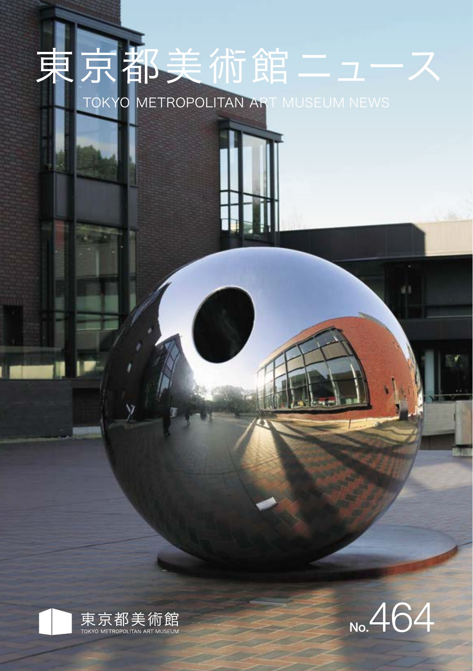# 東京都美術館ニュー TOKYO METROPOLITAN ART MUSEUM NEWS



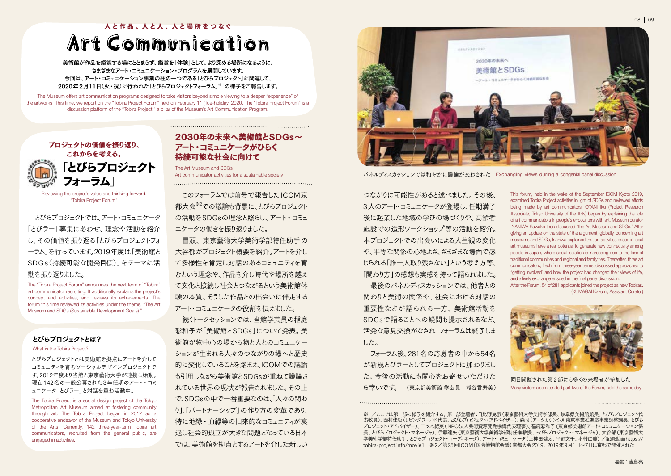人と作品、人と人、人と場所をつなぐ

## Art Communication

美術館が作品を鑑賞する場にとどまらず、鑑賞を「体験」として、より深める場所になるように、 さまざまなアート・コミュニケーション・プログラムを展開しています。 今回は、アート・コミュニケーション事業の柱の一つである「とびらプロジェクト」に関連して、 2020年2月11日(火・祝)に行われた「とびらプロジェクトフォーラム」※1の様子をご報告します。

The Museum offers art communication programs designed to take visitors beyond simple viewing to a deeper "experience" of the artworks. This time, we report on the "Tobira Project Forum" held on February 11 (Tue-holiday) 2020. The "Tobira Project Forum" is a discussion platform of the "Tobira Project," a pillar of the Museum's Art Communication Program.



Reviewing the project's value and thinking forward. "Tobira Project Forum"

 とびらプロジェクトでは、アート・コミュニケータ 「とびラー」募集にあわせ、理念や活動を紹介 し、その価値を振り返る「とびらプロジェクトフォ ーラム」を行っています。2019年度は「美術館と SDGs(持続可能な開発目標)」をテーマに活 動を振り返りました。

The "Tobira Project Forum" announces the next term of "Tobira" art communicator recruiting. It additionally explains the project's concept and activities, and reviews its achievements. The forum this time reviewed its activities under the theme, "The Art Museum and SDGs (Sustainable Development Goals)."

#### とびらプロジェクトとは?

What is the Tobira Project?

とびらプロジェクトとは美術館を拠点にアートを介して コミュニティを育むソーシャルデザインプロジェクトで す。2012年度より当館と東京藝術大学が連携し始動。 現在142名の一般公募された3年任期のアート・コミ ュニケータ「とびラー」と対話を重ね活動中。

The Tobira Project is a social design project of the Tokyo Metropolitan Art Museum aimed at fostering community through art. The Tobira Project began in 2012 as a cooperative endeavor of the Museum and Tokyo University of the Arts. Currently, 142 three-year-term Tobira art communicators, recruited from the general public, are engaged in activities.

### 2030年の未来へ美術館とSDGs~ アート・コミュニケータがひらく 持続可能な社会に向けて

The Art Museum and SDGs Art communicator activities for a sustainable society

 このフォーラムでは前号で報告したICOM京 都大会※2での議論も背景に、とびらプロジェクト の活動をSDGsの理念と照らし、アート・コミュ ニケータの働きを振り返りました。

 冒頭、東京藝術大学美術学部特任助手の 大谷郁がプロジェクト概要を紹介。アートを介し て多様性を肯定し対話のあるコミュニティを育 むという理念や、作品を介し時代や場所を越え て文化と接続し社会とつながるという美術館体 験の本質、そうした作品との出会いに伴走する アート・コミュニケータの役割を伝えました。

 続くトークセッションでは、当館学芸員の稲庭 彩和子が「美術館とSDGs」について発表。美 術館が物中心の場から物と人とのコミュニケー ションが生まれる人々のつながりの場へと歴史 的に変化していることを踏まえ、ICOMでの議論 も引用しながら美術館とSDGsが重ねて議論さ れている世界の現状が報告されました。その上 で、SDGsの中で一番重要なのは、「人々の関わ り」、「パートナーシップ」の作り方の変革であり、 特に地縁・血縁等の旧来的なコミュニティが衰 退し社会的孤立が大きな問題となっている日本 では、美術館を拠点とするアートを介した新しい



パネルディスカッションでは和やかに議論が交わされた Exchanging views during a congenial panel discussion

つながりに可能性があると述べました。その後、 3人のアート・コミュニケータが登場し、任期満了 後に起業した地域の学びの場づくりや、高齢者 施設での造形ワークショップ等の活動を紹介。 本プロジェクトでの出会いによる人生観の変化 や、平等な関係の心地よさ、さまざまな場面で感 じられる「誰一人取り残さない」という考え方等、 「関わり方」の感想も実感を持って語られました。

 最後のパネルディスカッションでは、他者との 関わりと美術の関係や、社会における対話の 重要性などが語られる一方、美術館活動を SDGsで語ることへの疑問も提示されるなど、 活発な意見交換がなされ、フォーラムは終了しま した。

 フォーラム後、281名の応募者の中から54名 が新規とびラーとしてプロジェクトに加わりまし た。今後の活動にも関心をお寄せいただけた ら幸いです。 (東京都美術館 学芸員 熊谷香寿美) This forum, held in the wake of the September ICOM Kyoto 2019, examined Tobira Project activities in light of SDGs and reviewed efforts being made by art communicators. OTANI Iku (Project Research Associate, Tokyo University of the Arts) began by explaining the role of art communicators in people's encounters with art. Museum curator INANIWA Sawako then discussed "the Art Museum and SDGs." After giving an update on the state of the argument, globally, concerning art museums and SDGs, Inaniwa explained that art activities based in local art museums have a real potential to generate new connectivity among people in Japan, where social isolation is increasing due to the loss of traditional communities and regional and family ties. Thereafter, three art communicators, fresh from three-year terms, discussed approaches to "getting involved" and how the project had changed their views of life, and a lively exchange ensued in the final panel discussion. After the Forum, 54 of 281 applicants joined the project as new Tobiras.

(KUMAGAI Kazumi, Assistant Curator)



Many visitors also attended part two of the Forum, held the same day 同日開催された第2部にも多くの来場者が参加した

※1/ここでは第1部の様子を紹介する。第1部登壇者:日比野克彦(東京藝術大学美術学部長、岐阜県美術館館長、とびらプロジェクト代 表教員)、西村佳哲(リビングワールド代表、とびらプロジェクト・アドバイザー)、森司(アーツカウンシル東京事業推進室事業調整課長、とびら プロジェクト・アドバイザー)、三ツ木紀英(NPO法人芸術資源開発機構代表理事)、稲庭彩和子(東京都美術館アート・コミュニケーション係 長、とびらプロジェクト・マネージャ)、伊藤達矢(東京藝術大学美術学部特任准教授、とびらプロジェクト・マネージャ)、大谷郁(東京藝術大 学美術学部特任助手、とびらプロジェクト・コーディネータ)、アート・コミュニケータ(上神田健太、平野文千、木村仁美)/記録動画https:// tobira-project.info/movie1 ※2/第25回ICOM(国際博物館会議)京都大会2019、2019年9月1日~7日に京都で開催された